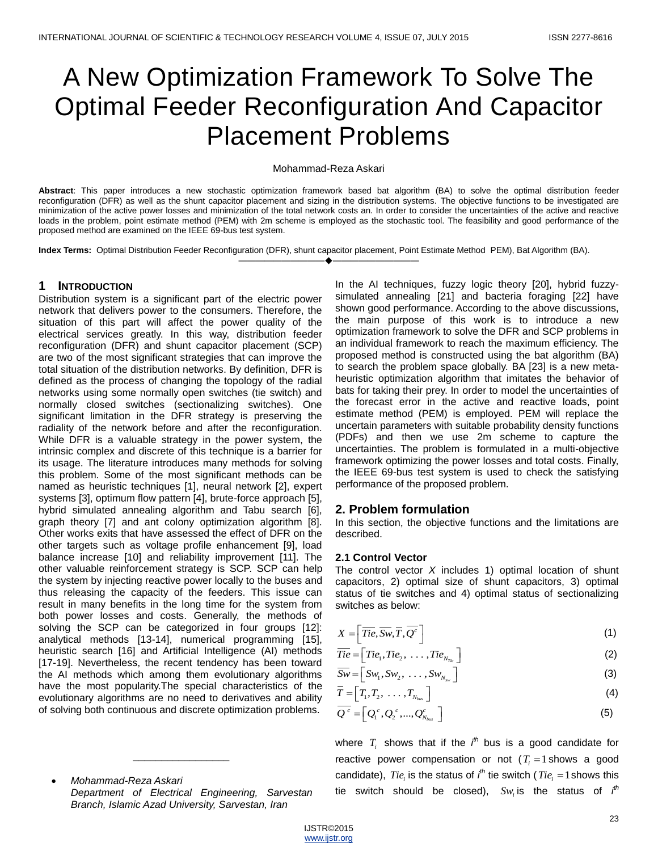# A New Optimization Framework To Solve The Optimal Feeder Reconfiguration And Capacitor Placement Problems

## Mohammad-Reza Askari

**Abstract**: This paper introduces a new stochastic optimization framework based bat algorithm (BA) to solve the optimal distribution feeder reconfiguration (DFR) as well as the shunt capacitor placement and sizing in the distribution systems. The objective functions to be investigated are minimization of the active power losses and minimization of the total network costs an. In order to consider the uncertainties of the active and reactive loads in the problem, point estimate method (PEM) with 2m scheme is employed as the stochastic tool. The feasibility and good performance of the proposed method are examined on the IEEE 69-bus test system.

————————————————————

**Index Terms:** Optimal Distribution Feeder Reconfiguration (DFR), shunt capacitor placement, Point Estimate Method PEM), Bat Algorithm (BA).

## **1 INTRODUCTION**

Distribution system is a significant part of the electric power network that delivers power to the consumers. Therefore, the situation of this part will affect the power quality of the electrical services greatly. In this way, distribution feeder reconfiguration (DFR) and shunt capacitor placement (SCP) are two of the most significant strategies that can improve the total situation of the distribution networks. By definition, DFR is defined as the process of changing the topology of the radial networks using some normally open switches (tie switch) and normally closed switches (sectionalizing switches). One significant limitation in the DFR strategy is preserving the radiality of the network before and after the reconfiguration. While DFR is a valuable strategy in the power system, the intrinsic complex and discrete of this technique is a barrier for its usage. The literature introduces many methods for solving this problem. Some of the most significant methods can be named as heuristic techniques [1], neural network [2], expert systems [3], optimum flow pattern [4], brute-force approach [5], hybrid simulated annealing algorithm and Tabu search [6], graph theory [7] and ant colony optimization algorithm [8]. Other works exits that have assessed the effect of DFR on the other targets such as voltage profile enhancement [9], load balance increase [10] and reliability improvement [11]. The other valuable reinforcement strategy is SCP. SCP can help the system by injecting reactive power locally to the buses and thus releasing the capacity of the feeders. This issue can result in many benefits in the long time for the system from both power losses and costs. Generally, the methods of solving the SCP can be categorized in four groups [12]: analytical methods [13-14], numerical programming [15], heuristic search [16] and Artificial Intelligence (AI) methods [17-19]. Nevertheless, the recent tendency has been toward the AI methods which among them evolutionary algorithms have the most popularity.The special characteristics of the evolutionary algorithms are no need to derivatives and ability of solving both continuous and discrete optimization problems.

 *Mohammad-Reza Askari Department of Electrical Engineering, Sarvestan Branch, Islamic Azad University, Sarvestan, Iran*

*\_\_\_\_\_\_\_\_\_\_\_\_\_\_\_\_\_*

In the AI techniques, fuzzy logic theory [20], hybrid fuzzysimulated annealing [21] and bacteria foraging [22] have shown good performance. According to the above discussions, the main purpose of this work is to introduce a new optimization framework to solve the DFR and SCP problems in an individual framework to reach the maximum efficiency. The proposed method is constructed using the bat algorithm (BA) to search the problem space globally. BA [23] is a new metaheuristic optimization algorithm that imitates the behavior of bats for taking their prey. In order to model the uncertainties of the forecast error in the active and reactive loads, point estimate method (PEM) is employed. PEM will replace the uncertain parameters with suitable probability density functions (PDFs) and then we use 2m scheme to capture the uncertainties. The problem is formulated in a multi-objective framework optimizing the power losses and total costs. Finally, the IEEE 69-bus test system is used to check the satisfying performance of the proposed problem.

# **2. Problem formulation**

In this section, the objective functions and the limitations are described.

#### **2.1 Control Vector**

The control vector *X* includes 1) optimal location of shunt capacitors, 2) optimal size of shunt capacitors, 3) optimal status of tie switches and 4) optimal status of sectionalizing switches as below:

$$
X = \left[ \overline{ Tie}, \overline{Sw}, \overline{T}, \overline{Q^c} \right]
$$
 (1)

$$
\overline{Tie} = \left[ Tie_1, Tie_2, \ldots, Tie_{N_{Te}} \right]
$$
 (2)

$$
\overline{Sw} = \left[Sw_1, Sw_2, \ldots, Sw_{N_{sw}}\right]
$$
 (3)

$$
\overline{T} = \left[T_1, T_2, \ldots, T_{N_{bus}}\right]
$$
\n(4)

$$
\overline{Q^c} = \left[ Q_1^c, Q_2^c, ..., Q_{N_{bus}}^c \right]
$$
\n(5)

where  $T_i$  shows that if the  $i^{th}$  bus is a good candidate for reactive power compensation or not  $(T_i = 1$  shows a good candidate),  $\mathit{Tie}_i$  is the status of  $\it{f}^{\it{th}}$  tie switch ( $\mathit{Tie}_i = 1$  shows this tie switch should be closed),  $Sw_i$  is the status of  $i^{th}$ 

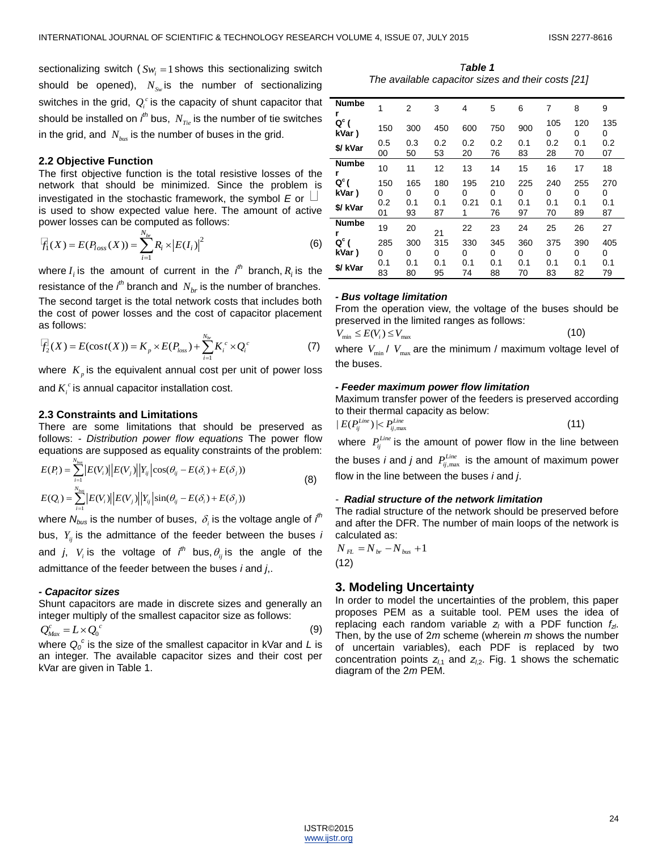sectionalizing switch ( $Sw_i = 1$  shows this sectionalizing switch should be opened), *NSw* is the number of sectionalizing switches in the grid,  $Q_i^c$  is the capacity of shunt capacitor that should be installed on  $\it i^{th}$  bus,  $\it N_{\it Te}$  is the number of tie switches in the grid, and  $N_{\rm \scriptscriptstyle bus}$  is the number of buses in the grid.

## **2.2 Objective Function**

The first objective function is the total resistive losses of the network that should be minimized. Since the problem is investigated in the stochastic framework, the symbol *E* or is used to show expected value here. The amount of active power losses can be computed as follows:

$$
\overline{F}_1(X) = E(P_{loss}(X)) = \sum_{i=1}^{N_{br}} R_i \times |E(I_i)|^2
$$
 (6)

where  $I_i$  is the amount of current in the  $i^{th}$  branch,  $R_i$  is the resistance of the  $i<sup>th</sup>$  branch and  $N_{br}$  is the number of branches. The second target is the total network costs that includes both the cost of power losses and the cost of capacitor placement as follows:

as follows:  
\n
$$
\mathcal{F}_2(X) = E(\cos t(X)) = K_p \times E(P_{loss}) + \sum_{i=1}^{N_{br}} K_i^c \times Q_i^c
$$
\n(7)

where  $K_p$  is the equivalent annual cost per unit of power loss

and  $K_i^{\ c}$  is annual capacitor installation cost.

## **2.3 Constraints and Limitations**

There are some limitations that should be preserved as follows: *- Distribution power flow equations* The power flow

equations are supposed as equality constraints of the problem:  
\n
$$
E(P_i) = \sum_{i=1}^{N_{\text{bus}}} |E(V_i)| |E(V_j)| |Y_{ij}| \cos(\theta_{ij} - E(\delta_i) + E(\delta_j))
$$
\n(8)  
\n
$$
E(Q_i) = \sum_{i=1}^{N_{\text{bus}}} |E(V_i)| |E(V_j)| |Y_{ij}| \sin(\theta_{ij} - E(\delta_i) + E(\delta_j))
$$

where  $N_{bus}$  is the number of buses,  $\,\delta_{_i}$  is the voltage angle of  $\it i^{th}$ bus, *Yij* is the admittance of the feeder between the buses *i* and *j*,  $V_i$  is the voltage of  $i<sup>th</sup>$  bus,  $\theta_{ij}$  is the angle of the admittance of the feeder between the buses *i* and *j*,.

#### *- Capacitor sizes*

Shunt capacitors are made in discrete sizes and generally an integer multiply of the smallest capacitor size as follows:

$$
Q_{\text{Max}}^c = L \times Q_0^c
$$
 (9)

where  $Q_0^c$  is the size of the smallest capacitor in kVar and L is an integer. The available capacitor sizes and their cost per kVar are given in Table 1.

*Table 1 The available capacitor sizes and their costs [21]*

| <b>Numbe</b><br>r | 1   | $\overline{2}$ | 3   | 4    | 5   | 6   | 7        | 8        | 9        |
|-------------------|-----|----------------|-----|------|-----|-----|----------|----------|----------|
| $Q^c$ (<br>kVar)  | 150 | 300            | 450 | 600  | 750 | 900 | 105<br>0 | 120<br>0 | 135<br>0 |
| \$/ kVar          | 0.5 | 0.3            | 0.2 | 0.2  | 0.2 | 0.1 | 0.2      | 0.1      | 0.2      |
|                   | 00  | 50             | 53  | 20   | 76  | 83  | 28       | 70       | 07       |
| <b>Numbe</b>      | 10  | 11             | 12  | 13   | 14  | 15  | 16       | 17       | 18       |
| $Q^c$ (           | 150 | 165            | 180 | 195  | 210 | 225 | 240      | 255      | 270      |
| kVar)             | 0   | 0              | 0   | 0    | 0   | 0   | 0        | 0        | 0        |
| \$/ kVar          | 0.2 | 0.1            | 0.1 | 0.21 | 0.1 | 0.1 | 0.1      | 0.1      | 0.1      |
|                   | 01  | 93             | 87  | 1    | 76  | 97  | 70       | 89       | 87       |
| <b>Numbe</b><br>r | 19  | 20             | 21  | 22   | 23  | 24  | 25       | 26       | 27       |
| $Q^c$ (           | 285 | 300            | 315 | 330  | 345 | 360 | 375      | 390      | 405      |
| kVar)             | 0   | 0              | 0   | 0    | 0   | 0   | 0        | 0        | 0        |
| \$/ kVar          | 0.1 | 0.1            | 0.1 | 0.1  | 0.1 | 0.1 | 0.1      | 0.1      | 0.1      |
|                   | 83  | 80             | 95  | 74   | 88  | 70  | 83       | 82       | 79       |

### *- Bus voltage limitation*

From the operation view, the voltage of the buses should be preserved in the limited ranges as follows:

$$
V_{\min} \le E(V_i) \le V_{\max} \tag{10}
$$

where  $V_{\text{min}}/V_{\text{max}}$  are the minimum / maximum voltage level of the buses.

#### *- Feeder maximum power flow limitation*

Maximum transfer power of the feeders is preserved according to their thermal capacity as below:

$$
|E(P_{ij}^{Line})| < P_{ij, \text{max}}^{Line} \tag{11}
$$

where  $P_{ij}^{Line}$  is the amount of power flow in the line between the buses *i* and *j* and  $P_{ij,\text{max}}^{Line}$  is the amount of maximum power

flow in the line between the buses *i* and *j*.

## *- Radial structure of the network limitation*

The radial structure of the network should be preserved before and after the DFR. The number of main loops of the network is calculated as:

$$
N_{FL} = N_{br} - N_{bus} + 1
$$
\n(12)

## **3. Modeling Uncertainty**

In order to model the uncertainties of the problem, this paper proposes PEM as a suitable tool. PEM uses the idea of replacing each random variable *z<sup>l</sup>* with a PDF function *fzl*. Then, by the use of 2*m* scheme (wherein *m* shows the number of uncertain variables), each PDF is replaced by two concentration points  $z_{l1}$  and  $z_{l2}$ . Fig. 1 shows the schematic diagram of the 2*m* PEM.

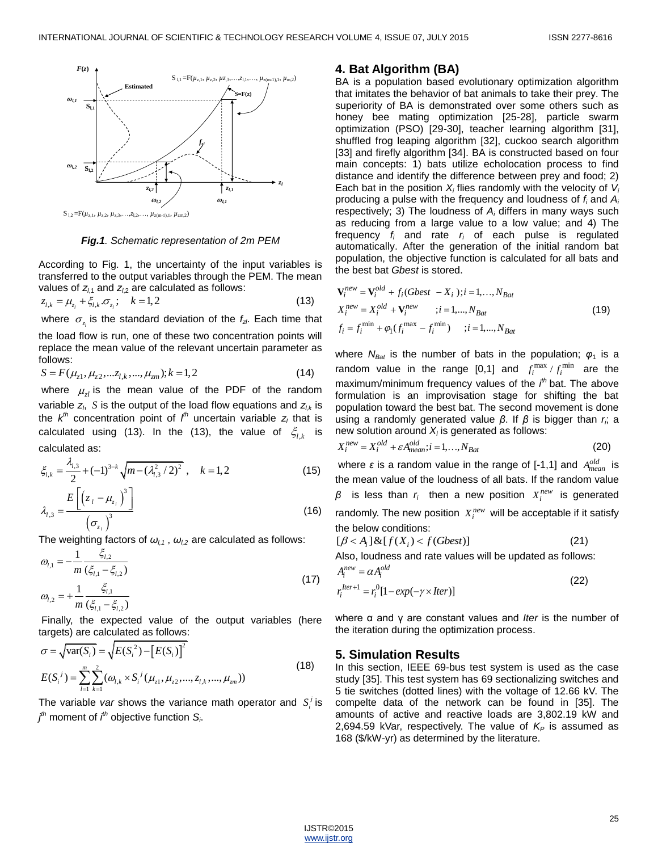

*Fig.1. Schematic representation of 2m PEM*

According to Fig. 1, the uncertainty of the input variables is transferred to the output variables through the PEM. The mean

values of 
$$
z_{l,1}
$$
 and  $z_{l,2}$  are calculated as follows:  
\n
$$
z_{l,k} = \mu_{z_l} + \xi_{l,k} \cdot \sigma_{z_l}; \quad k = 1,2
$$
\n(13)

where  $\sigma_{z_i}$  is the standard deviation of the  $f_{z^l}$ . Each time that

the load flow is run, one of these two concentration points will replace the mean value of the relevant uncertain parameter as follows: follows:<br>  $S = F(\mu_{z1}, \mu_{z2}, \dots z_{l,k}, \dots, \mu_{zm}); k = 1,2$  (14)

$$
S = F(\mu_{z1}, \mu_{z2}, \dots z_{l,k}, \dots, \mu_{zm}); k = 1, 2
$$
\n(14)

where  $\mu_{zl}$  is the mean value of the PDF of the random variable  $z_i$ ,  $S$  is the output of the load flow equations and  $z_{i,k}$  is the *k th* concentration point of *l th* uncertain variable *z<sup>l</sup>* that is calculated using (13). In the (13), the value of  $\xi_{l,k}$  is calculated as:

$$
\xi_{i,k} = \frac{\lambda_{i,3}}{2} + (-1)^{3-k} \sqrt{m - (\lambda_{i,3}^2 / 2)^2}, \quad k = 1, 2
$$
\n
$$
\lambda_{i,3} = \frac{E\left[\left(z_i - \mu_{z_i}\right)^3\right]}{\left(\sigma_{z_i}\right)^3}
$$
\n(16)

The weighting factors of  $\omega_{l,1}$ ,  $\omega_{l,2}$  are calculated as follows:

$$
\omega_{l,1} = -\frac{1}{m} \frac{\xi_{l,2}}{(\xi_{l,1} - \xi_{l,2})}
$$
\n
$$
\omega_{l,2} = +\frac{1}{m} \frac{\xi_{l,1}}{(\xi_{l,1} - \xi_{l,2})}
$$
\n(17)

Finally, the expected value of the output variables (here

targets) are calculated as follows:  
\n
$$
\sigma = \sqrt{\text{var}(S_i)} = \sqrt{E(S_i^2) - [E(S_i)]^2}
$$
\n
$$
E(S_i^j) = \sum_{l=1}^{m} \sum_{k=1}^{2} (\omega_{l,k} \times S_i^j(\mu_{z1}, \mu_{z2}, ..., \lambda_{l,k}, ..., \mu_{vm}))
$$
\n(18)

The variable var shows the variance math operator and  $S_i^j$  is *j th* moment of *i th* objective function *S<sup>i</sup>* .

# **4. Bat Algorithm (BA)**

BA is a population based evolutionary optimization algorithm that imitates the behavior of bat animals to take their prey. The superiority of BA is demonstrated over some others such as honey bee mating optimization [25-28], particle swarm optimization (PSO) [29-30], teacher learning algorithm [31], shuffled frog leaping algorithm [32], cuckoo search algorithm [33] and firefly algorithm [34]. BA is constructed based on four main concepts: 1) bats utilize echolocation process to find distance and identify the difference between prey and food; 2) Each bat in the position *X<sup>i</sup>* flies randomly with the velocity of *V<sup>i</sup>* producing a pulse with the frequency and loudness of *f<sup>i</sup>* and *A<sup>i</sup>* respectively; 3) The loudness of *A<sup>i</sup>* differs in many ways such as reducing from a large value to a low value; and 4) The frequency *f<sup>i</sup>* and rate *r<sup>i</sup>* of each pulse is regulated automatically. After the generation of the initial random bat population, the objective function is calculated for all bats and the best bat *Gbest* is stored.

$$
\mathbf{V}_{i}^{new} = \mathbf{V}_{i}^{old} + f_{i}(Gbest - X_{i}); i = 1,..., N_{Bat}
$$
\n
$$
X_{i}^{new} = X_{i}^{old} + \mathbf{V}_{i}^{new} \qquad ; i = 1,..., N_{Bat}
$$
\n
$$
f_{i} = f_{i}^{min} + \varphi_{1}(f_{i}^{max} - f_{i}^{min}) \qquad ; i = 1,..., N_{Bat}
$$
\n(19)

where  $N_{\text{Bat}}$  is the number of bats in the population;  $\varphi_1$  is a random value in the range  $[0,1]$  and  $f_i^{\max}/f_i^{\min}$  are the maximum/minimum frequency values of the *i th* bat. The above formulation is an improvisation stage for shifting the bat population toward the best bat. The second movement is done using a randomly generated value *β*. If *β* is bigger than *r<sup>i</sup>* ; a new solution around  $X_i$  is generated as follows:

$$
X_i^{new} = X_i^{old} + \varepsilon A_{mean}^{old}; i = 1,...,N_{Bat}
$$
 (20)

where ε is a random value in the range of [-1,1] and  $A^{old}_{mean}$  is the mean value of the loudness of all bats. If the random value  $β$  is less than  $r_i$  then a new position  $X_i^{new}$  is generated randomly. The new position  $X_i^{new}$  will be acceptable if it satisfy

the below conditions:  
\n
$$
[\beta < A_i] \& [f(X_i) < f(Gbest)] \tag{21}
$$

Also, loudness and rate values will be updated as follows:

$$
A_i^{new} = \alpha A_i^{old}
$$
  
\n
$$
r_i^{Iter+1} = r_i^0 [1 - exp(-\gamma \times iter)]
$$
\n(22)

where α and γ are constant values and *Iter* is the number of the iteration during the optimization process.

# **5. Simulation Results**

In this section, IEEE 69-bus test system is used as the case study [35]. This test system has 69 sectionalizing switches and 5 tie switches (dotted lines) with the voltage of 12.66 kV. The compelte data of the network can be found in [35]. The amounts of active and reactive loads are 3,802.19 kW and 2,694.59 kVar, respectively. The value of  $K_P$  is assumed as 168 (\$/kW-yr) as determined by the literature.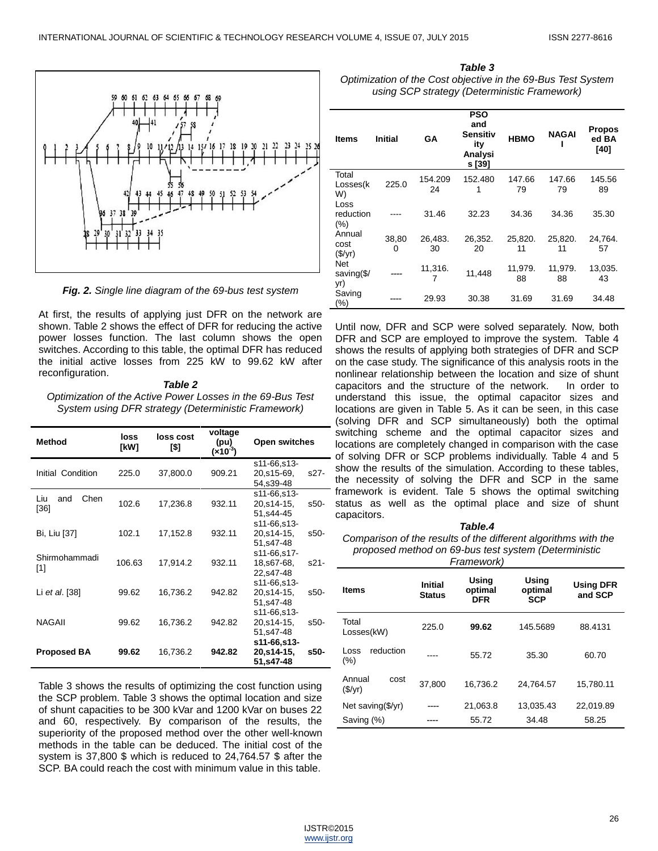

*Fig. 2. Single line diagram of the 69-bus test system*

At first, the results of applying just DFR on the network are shown. Table 2 shows the effect of DFR for reducing the active power losses function. The last column shows the open switches. According to this table, the optimal DFR has reduced the initial active losses from 225 kW to 99.62 kW after reconfiguration.

### *Table 2*

*Optimization of the Active Power Losses in the 69-Bus Test System using DFR strategy (Deterministic Framework)*

| <b>Method</b>              | loss<br>[kW] | loss cost<br>[\$] | voltage<br>(pu)<br>(×10 <sup>-3</sup> ) | Open switches                                         |      |
|----------------------------|--------------|-------------------|-----------------------------------------|-------------------------------------------------------|------|
| Initial Condition          | 225.0        | 37,800.0          | 909.21                                  | s11-66,s13-<br>20,s15-69,<br>54,s39-48                | s27- |
| Chen<br>Liu<br>and<br>[36] | 102.6        | 17,236.8          | 932.11                                  | s11-66.s13-<br>20,s14-15,<br>51.s44-45                | s50- |
| Bi, Liu [37]               | 102.1        | 17,152.8          | 932.11                                  | s11-66,s13-<br>20,s14-15,<br>51.s47-48                | s50- |
| Shirmohammadi<br>$[1]$     | 106.63       | 17,914.2          | 932.11                                  | s11-66,s17-<br>18,s67-68,<br>22,s47-48<br>s11-66,s13- | s21- |
| Li et al. [38]             | 99.62        | 16,736.2          | 942.82                                  | 20,s14-15,<br>51,s47-48<br>s11-66,s13-                | s50- |
| <b>NAGAII</b>              | 99.62        | 16,736.2          | 942.82                                  | 20,s14-15,<br>51,s47-48<br>s11-66,s13-                | s50- |
| <b>Proposed BA</b>         | 99.62        | 16,736.2          | 942.82                                  | 20,s14-15,<br>51,s47-48                               | s50- |

Table 3 shows the results of optimizing the cost function using the SCP problem. Table 3 shows the optimal location and size of shunt capacities to be 300 kVar and 1200 kVar on buses 22 and 60, respectively. By comparison of the results, the superiority of the proposed method over the other well-known methods in the table can be deduced. The initial cost of the system is 37,800 \$ which is reduced to 24,764.57 \$ after the SCP. BA could reach the cost with minimum value in this table.

*Table 3 Optimization of the Cost objective in the 69-Bus Test System using SCP strategy (Deterministic Framework)*

| ltems                     | <b>Initial</b> | GA            | <b>PSO</b><br>and<br><b>Sensitiv</b><br>ity<br>Analysi<br>s [39] | <b>HBMO</b>   | <b>NAGAI</b>  | Propos<br>ed BA<br>[40] |
|---------------------------|----------------|---------------|------------------------------------------------------------------|---------------|---------------|-------------------------|
| Total<br>Losses(k<br>W)   | 225.0          | 154.209<br>24 | 152.480<br>1                                                     | 147.66<br>79  | 147.66<br>79  | 145.56<br>89            |
| Loss<br>reduction<br>(% ) |                | 31.46         | 32.23                                                            | 34.36         | 34.36         | 35.30                   |
| Annual<br>cost<br>(\$/yr) | 38,80<br>0     | 26,483.<br>30 | 26,352.<br>20                                                    | 25,820.<br>11 | 25,820.<br>11 | 24,764.<br>57           |
| Net<br>saving(\$/<br>yr)  |                | 11,316.       | 11,448                                                           | 11,979.<br>88 | 11,979.<br>88 | 13,035.<br>43           |
| Saving<br>(%)             |                | 29.93         | 30.38                                                            | 31.69         | 31.69         | 34.48                   |

Until now, DFR and SCP were solved separately. Now, both DFR and SCP are employed to improve the system. Table 4 shows the results of applying both strategies of DFR and SCP on the case study. The significance of this analysis roots in the nonlinear relationship between the location and size of shunt capacitors and the structure of the network. In order to understand this issue, the optimal capacitor sizes and locations are given in Table 5. As it can be seen, in this case (solving DFR and SCP simultaneously) both the optimal switching scheme and the optimal capacitor sizes and locations are completely changed in comparison with the case of solving DFR or SCP problems individually. Table 4 and 5 show the results of the simulation. According to these tables, the necessity of solving the DFR and SCP in the same framework is evident. Tale 5 shows the optimal switching status as well as the optimal place and size of shunt capacitors.

## *Table.4*

*Comparison of the results of the different algorithms with the proposed method on 69-bus test system (Deterministic Framework)*

| <b>Items</b>                | <b>Initial</b><br><b>Status</b> | Using<br>optimal<br><b>DFR</b> | Using<br>optimal<br><b>SCP</b> | <b>Using DFR</b><br>and SCP |
|-----------------------------|---------------------------------|--------------------------------|--------------------------------|-----------------------------|
| Total<br>Losses(kW)         | 225.0                           | 99.62                          | 145.5689                       | 88.4131                     |
| reduction<br>l oss<br>(%)   |                                 | 55.72                          | 35.30                          | 60.70                       |
| Annual<br>cost<br>(\$/yr)   | 37.800                          | 16.736.2                       | 24.764.57                      | 15.780.11                   |
| Net saving $(\frac{5}{yr})$ |                                 | 21.063.8                       | 13.035.43                      | 22.019.89                   |
| Saving (%)                  |                                 | 55.72                          | 34.48                          | 58.25                       |

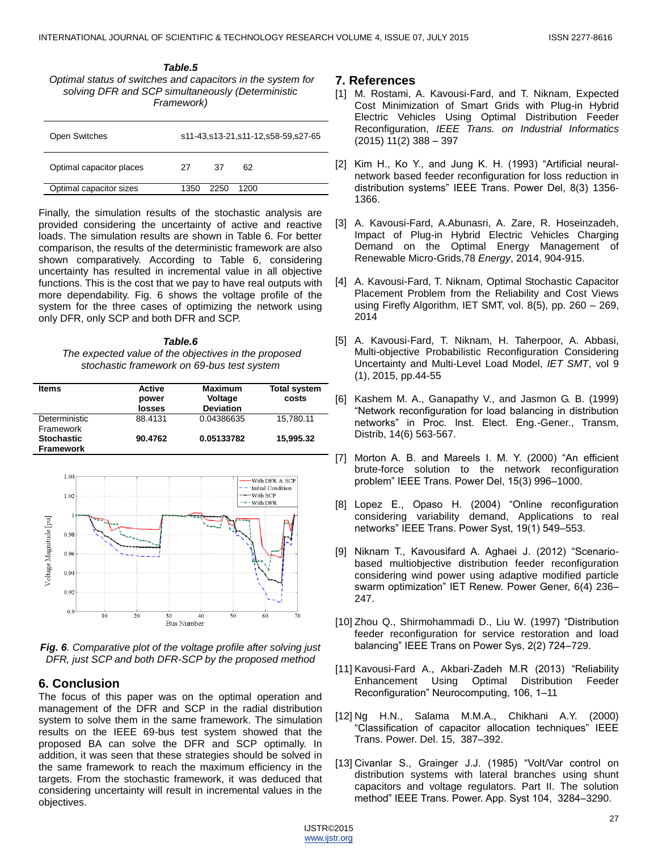*Table.5 Optimal status of switches and capacitors in the system for solving DFR and SCP simultaneously (Deterministic Framework)*

| Open Switches            | s11-43,s13-21,s11-12,s58-59,s27-65 |      |      |  |
|--------------------------|------------------------------------|------|------|--|
| Optimal capacitor places | 27                                 | 37   | 62   |  |
| Optimal capacitor sizes  | 1350                               | 2250 | 1200 |  |

Finally, the simulation results of the stochastic analysis are provided considering the uncertainty of active and reactive loads. The simulation results are shown in Table 6. For better comparison, the results of the deterministic framework are also shown comparatively. According to Table 6, considering uncertainty has resulted in incremental value in all objective functions. This is the cost that we pay to have real outputs with more dependability. Fig. 6 shows the voltage profile of the system for the three cases of optimizing the network using only DFR, only SCP and both DFR and SCP.

## *Table.6*

*The expected value of the objectives in the proposed stochastic framework on 69-bus test system* 

| <b>Items</b>                          | Active<br>power<br>losses | <b>Maximum</b><br>Voltage<br><b>Deviation</b> | <b>Total system</b><br>costs |
|---------------------------------------|---------------------------|-----------------------------------------------|------------------------------|
| Deterministic<br>Framework            | 88.4131                   | 0.04386635                                    | 15.780.11                    |
| <b>Stochastic</b><br><b>Framework</b> | 90.4762                   | 0.05133782                                    | 15.995.32                    |



*Fig. 6. Comparative plot of the voltage profile after solving just DFR, just SCP and both DFR-SCP by the proposed method*

# **6. Conclusion**

The focus of this paper was on the optimal operation and management of the DFR and SCP in the radial distribution system to solve them in the same framework. The simulation results on the IEEE 69-bus test system showed that the proposed BA can solve the DFR and SCP optimally. In addition, it was seen that these strategies should be solved in the same framework to reach the maximum efficiency in the targets. From the stochastic framework, it was deduced that considering uncertainty will result in incremental values in the objectives.

# **7. References**

- [1] M. Rostami, A. Kavousi-Fard, and T. Niknam, Expected Cost Minimization of Smart Grids with Plug-in Hybrid Electric Vehicles Using Optimal Distribution Feeder Reconfiguration, *IEEE Trans. on Industrial Informatics* (2015) 11(2) 388 – 397
- [2] Kim H., Ko Y., and Jung K. H. (1993) "Artificial neuralnetwork based feeder reconfiguration for loss reduction in distribution systems" IEEE Trans. Power Del, 8(3) 1356-1366.
- [3] A. Kavousi-Fard, A.Abunasri, A. Zare, R. Hoseinzadeh, Impact of Plug-in Hybrid Electric Vehicles Charging Demand on the Optimal Energy Management of Renewable Micro-Grids,78 *Energy*, 2014, 904-915.
- [4] A. Kavousi-Fard, T. Niknam, Optimal Stochastic Capacitor Placement Problem from the Reliability and Cost Views using Firefly Algorithm, IET SMT, vol. 8(5), pp. 260 – 269, 2014
- [5] A. Kavousi-Fard, T. Niknam, H. Taherpoor, A. Abbasi, Multi-objective Probabilistic Reconfiguration Considering Uncertainty and Multi-Level Load Model, *IET SMT*, vol 9 (1), 2015, pp.44-55
- [6] Kashem M. A., Ganapathy V., and Jasmon G. B. (1999) ―Network reconfiguration for load balancing in distribution networks‖ in Proc. Inst. Elect. Eng.-Gener., Transm, Distrib, 14(6) 563-567.
- [7] Morton A. B. and Mareels I. M. Y. (2000) "An efficient brute-force solution to the network reconfiguration problem‖ IEEE Trans. Power Del, 15(3) 996–1000.
- [8] Lopez E., Opaso H. (2004) "Online reconfiguration considering variability demand, Applications to real networks" IEEE Trans. Power Syst, 19(1) 549-553.
- [9] Niknam T., Kavousifard A. Aghaei J. (2012) "Scenariobased multiobjective distribution feeder reconfiguration considering wind power using adaptive modified particle swarm optimization" IET Renew. Power Gener, 6(4) 236-247.
- [10] Zhou Q., Shirmohammadi D., Liu W. (1997) "Distribution feeder reconfiguration for service restoration and load balancing" IEEE Trans on Power Sys, 2(2) 724-729.
- [11] Kavousi-Fard A., Akbari-Zadeh M.R (2013) "Reliability Enhancement Using Optimal Distribution Feeder Reconfiguration" Neurocomputing, 106, 1-11
- [12] Ng H.N., Salama M.M.A., Chikhani A.Y. (2000) ―Classification of capacitor allocation techniques‖ IEEE Trans. Power. Del. 15, 387–392.
- [13] Civanlar S., Grainger J.J. (1985) "Volt/Var control on distribution systems with lateral branches using shunt capacitors and voltage regulators. Part II. The solution method" IEEE Trans. Power. App. Syst 104, 3284-3290.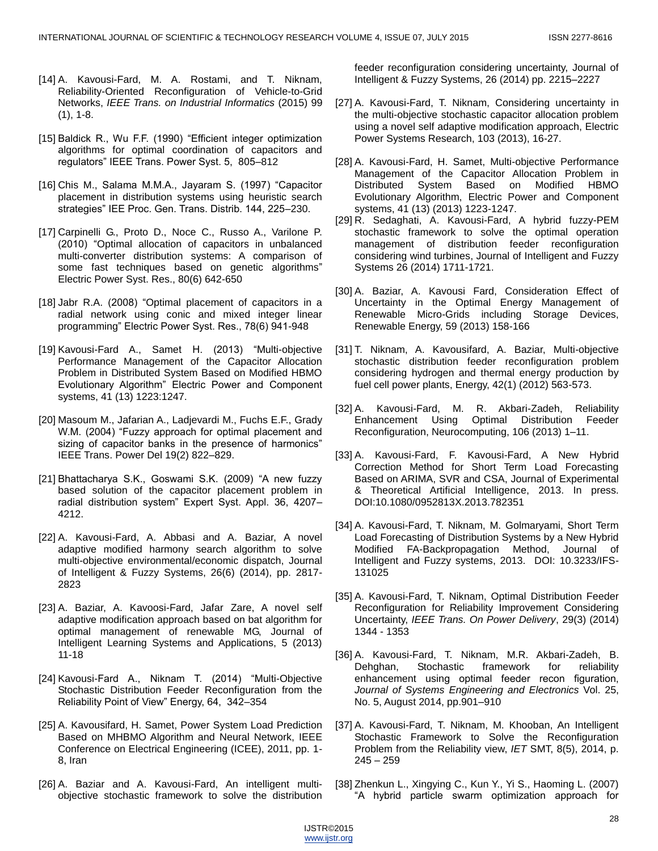- [14] A. Kavousi-Fard, M. A. Rostami, and T. Niknam, Reliability-Oriented Reconfiguration of Vehicle-to-Grid Networks, *IEEE Trans. on Industrial Informatics* (2015) 99  $(1), 1-8.$
- [15] Baldick R., Wu F.F. (1990) "Efficient integer optimization algorithms for optimal coordination of capacitors and regulators‖ IEEE Trans. Power Syst. 5, 805–812
- [16] Chis M., Salama M.M.A., Jayaram S. (1997) "Capacitor placement in distribution systems using heuristic search strategies" IEE Proc. Gen. Trans. Distrib. 144, 225-230.
- [17] Carpinelli G., Proto D., Noce C., Russo A., Varilone P. (2010) "Optimal allocation of capacitors in unbalanced [multi-converter distribution systems: A comparison of](http://www.sciencedirect.com/science/article/pii/S0378779609002703)  some fast techniques based on genetic algorithms" Electric Power Syst. Res., 80(6) 642-650
- [18] Jabr R.A. (2008) "Optimal placement of capacitors in a [radial network using conic and mixed integer linear](http://www.sciencedirect.com/science/article/pii/S0378779607001526)  programming" Electric Power Syst. Res., 78(6) 941-948
- [19] Kavousi-Fard A., Samet H. (2013) "Multi-objective Performance Management of the Capacitor Allocation Problem in Distributed System Based on Modified HBMO Evolutionary Algorithm" Electric Power and Component systems, 41 (13) 1223:1247.
- [20] Masoum M., Jafarian A., Ladjevardi M., Fuchs E.F., Grady W.M. (2004) "Fuzzy approach for optimal placement and sizing of capacitor banks in the presence of harmonics" IEEE Trans. Power Del 19(2) 822–829.
- [21] Bhattacharya S.K., Goswami S.K. (2009) "A new fuzzy based solution of the capacitor placement problem in radial distribution system" Expert Syst. Appl. 36, 4207-4212.
- [22] A. Kavousi-Fard, A. Abbasi and A. Baziar, A novel adaptive modified harmony search algorithm to solve multi-objective environmental/economic dispatch, Journal of Intelligent & Fuzzy Systems, 26(6) (2014), pp. 2817- 2823
- [23] A. Baziar, A. Kavoosi-Fard, Jafar Zare, A novel self adaptive modification approach based on bat algorithm for optimal management of renewable MG, Journal of Intelligent Learning Systems and Applications, 5 (2013) 11-18
- [24] Kavousi-Fard A., Niknam T. (2014) "Multi-Objective Stochastic Distribution Feeder Reconfiguration from the Reliability Point of View" Energy, 64, 342-354
- [25] A. Kavousifard, H. Samet, Power System Load Prediction Based on MHBMO Algorithm and Neural Network, IEEE Conference on Electrical Engineering (ICEE), 2011, pp. 1- 8, Iran
- [26] A. Baziar and A. Kavousi-Fard, An intelligent multiobjective stochastic framework to solve the distribution

feeder reconfiguration considering uncertainty, Journal of Intelligent & Fuzzy Systems, 26 (2014) pp. 2215–2227

- [27] A. Kavousi-Fard, T. Niknam, Considering uncertainty in the multi-objective stochastic capacitor allocation problem using a novel self adaptive modification approach, Electric Power Systems Research, 103 (2013), 16-27.
- [28] A. Kavousi-Fard, H. Samet, Multi-objective Performance Management of the Capacitor Allocation Problem in Distributed System Based on Modified HBMO Evolutionary Algorithm, Electric Power and Component systems, 41 (13) (2013) 1223-1247.
- [29] R. Sedaghati, A. Kavousi-Fard, A hybrid fuzzy-PEM stochastic framework to solve the optimal operation management of distribution feeder reconfiguration considering wind turbines, Journal of Intelligent and Fuzzy Systems 26 (2014) 1711-1721.
- [30] A. Baziar, A. Kavousi Fard, Consideration Effect of Uncertainty in the Optimal Energy Management of Renewable Micro-Grids including Storage Devices, Renewable Energy, 59 (2013) 158-166
- [31] T. Niknam, A. Kavousifard, A. Baziar, Multi-objective stochastic distribution feeder reconfiguration problem considering hydrogen and thermal energy production by fuel cell power plants, Energy, 42(1) (2012) 563-573.
- [32] A. Kavousi-Fard, M. R. Akbari-Zadeh, Reliability Enhancement Using Optimal Distribution Feeder Reconfiguration, Neurocomputing, 106 (2013) 1–11.
- [33] A. Kavousi-Fard, F. Kavousi-Fard, A New Hybrid Correction Method for Short Term Load Forecasting Based on ARIMA, SVR and CSA, Journal of Experimental & Theoretical Artificial Intelligence, 2013. In press. DOI:10.1080/0952813X.2013.782351
- [34] A. Kavousi-Fard, T. Niknam, M. Golmaryami, Short Term Load Forecasting of Distribution Systems by a New Hybrid Modified FA-Backpropagation Method, Journal of Intelligent and Fuzzy systems, 2013. DOI: 10.3233/IFS-131025
- [35] A. Kavousi-Fard, T. Niknam, Optimal Distribution Feeder Reconfiguration for Reliability Improvement Considering Uncertainty, *IEEE Trans. On Power Delivery*, 29(3) (2014) 1344 - 1353
- [36] A. Kavousi-Fard, T. Niknam, M.R. Akbari-Zadeh, B. Dehghan, Stochastic framework for reliability enhancement using optimal feeder recon figuration, *Journal of Systems Engineering and Electronics* Vol. 25, No. 5, August 2014, pp.901–910
- [37] A. Kavousi-Fard, T. Niknam, M. Khooban, An Intelligent Stochastic Framework to Solve the Reconfiguration Problem from the Reliability view, *IET* SMT, 8(5), 2014, p.  $245 - 259$
- [38] Zhenkun L., Xingying C., Kun Y., Yi S., Haoming L. (2007) ―A hybrid particle swarm optimization approach for